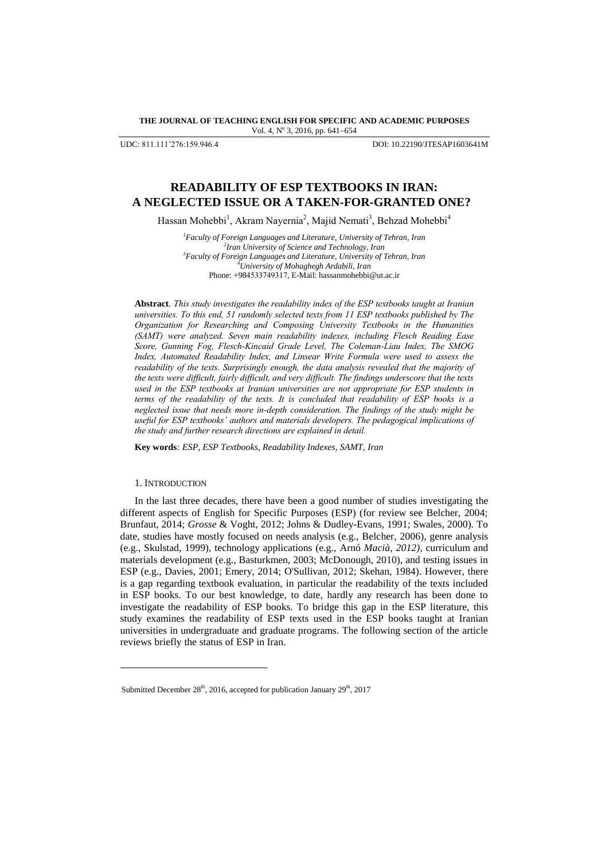**THE JOURNAL OF TEACHING ENGLISH FOR SPECIFIC AND ACADEMIC PURPOSES** Vol. 4, Nº 3, 2016, pp. 641-654

UDC: 811.111'276:159.946.4 DOI: 10.22190/JTESAP1603641M

# **READABILITY OF ESP TEXTBOOKS IN IRAN: A NEGLECTED ISSUE OR A TAKEN-FOR-GRANTED ONE?**

Hassan Mohebbi<sup>1</sup>, Akram Nayernia<sup>2</sup>, Majid Nemati<sup>3</sup>, Behzad Mohebbi<sup>4</sup>

*Faculty of Foreign Languages and Literature, University of Tehran, Iran Iran University of Science and Technology, Iran Faculty of Foreign Languages and Literature, University of Tehran, Iran University of Mohaghegh Ardabili, Iran* Phone: +984533749317, E-Mail: hassanmohebbi@ut.ac.ir

**Abstract***. This study investigates the readability index of the ESP textbooks taught at Iranian universities. To this end, 51 randomly selected texts from 11 ESP textbooks published by The Organization for Researching and Composing University Textbooks in the Humanities (SAMT) were analyzed. Seven main readability indexes, including Flesch Reading Ease Score, Gunning Fog, Flesch-Kincaid Grade Level, The Coleman-Liau Index, The SMOG Index, Automated Readability Index, and Linsear Write Formula were used to assess the readability of the texts. Surprisingly enough, the data analysis revealed that the majority of the texts were difficult, fairly difficult, and very difficult. The findings underscore that the texts used in the ESP textbooks at Iranian universities are not appropriate for ESP students in terms of the readability of the texts. It is concluded that readability of ESP books is a neglected issue that needs more in-depth consideration. The findings of the study might be useful for ESP textbooks' authors and materials developers. The pedagogical implications of the study and further research directions are explained in detail.*

**Key words***: ESP, ESP Textbooks, Readability Indexes, SAMT, Iran*

### 1. INTRODUCTION

l

In the last three decades, there have been a good number of studies investigating the different aspects of English for Specific Purposes (ESP) (for review see Belcher, 2004; Brunfaut, 2014; *Grosse* & Voght, 2012; Johns & Dudley-Evans, 1991; Swales, 2000). To date, studies have mostly focused on needs analysis (e.g., Belcher, 2006), genre analysis (e.g., Skulstad, 1999), technology applications (e.g., Arnó *Macià, 2012)*, curriculum and materials development (e.g., Basturkmen, 2003; McDonough, 2010), and testing issues in ESP (e.g., Davies, 2001; Emery, 2014; O'Sullivan*,* 2012; Skehan, 1984). However, there is a gap regarding textbook evaluation, in particular the readability of the texts included in ESP books. To our best knowledge, to date, hardly any research has been done to investigate the readability of ESP books. To bridge this gap in the ESP literature, this study examines the readability of ESP texts used in the ESP books taught at Iranian universities in undergraduate and graduate programs. The following section of the article reviews briefly the status of ESP in Iran.

Submitted December 28<sup>th</sup>, 2016, accepted for publication January 29<sup>th</sup>, 2017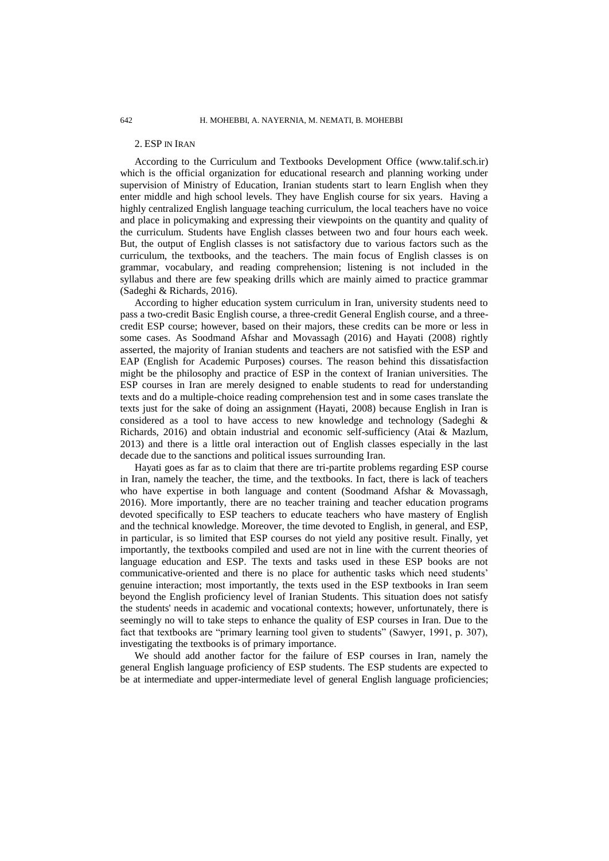### 2. ESP IN IRAN

According to the Curriculum and Textbooks Development Office [\(www.talif.sch.ir\)](http://www.talif.sch.ir/) which is the official organization for educational research and planning working under supervision of Ministry of Education, Iranian students start to learn English when they enter middle and high school levels. They have English course for six years. Having a highly centralized English language teaching curriculum, the local teachers have no voice and place in policymaking and expressing their viewpoints on the quantity and quality of the curriculum. Students have English classes between two and four hours each week. But, the output of English classes is not satisfactory due to various factors such as the curriculum, the textbooks, and the teachers. The main focus of English classes is on grammar, vocabulary, and reading comprehension; listening is not included in the syllabus and there are few speaking drills which are mainly aimed to practice grammar (Sadeghi & Richards, 2016).

According to higher education system curriculum in Iran, university students need to pass a two-credit Basic English course, a three-credit General English course, and a threecredit ESP course; however, based on their majors, these credits can be more or less in some cases. As Soodmand Afshar and Movassagh (2016) and Hayati (2008) rightly asserted, the majority of Iranian students and teachers are not satisfied with the ESP and EAP (English for Academic Purposes) courses. The reason behind this dissatisfaction might be the philosophy and practice of ESP in the context of Iranian universities. The ESP courses in Iran are merely designed to enable students to read for understanding texts and do a multiple-choice reading comprehension test and in some cases translate the texts just for the sake of doing an assignment (Hayati, 2008) because English in Iran is considered as a tool to have access to new knowledge and technology (Sadeghi & Richards, 2016) and obtain industrial and economic self-sufficiency (Atai & Mazlum, 2013) and there is a little oral interaction out of English classes especially in the last decade due to the sanctions and political issues surrounding Iran.

Hayati goes as far as to claim that there are tri-partite problems regarding ESP course in Iran, namely the teacher, the time, and the textbooks. In fact, there is lack of teachers who have expertise in both language and content (Soodmand Afshar & Movassagh, 2016). More importantly, there are no teacher training and teacher education programs devoted specifically to ESP teachers to educate teachers who have mastery of English and the technical knowledge. Moreover, the time devoted to English, in general, and ESP, in particular, is so limited that ESP courses do not yield any positive result. Finally, yet importantly, the textbooks compiled and used are not in line with the current theories of language education and ESP. The texts and tasks used in these ESP books are not communicative-oriented and there is no place for authentic tasks which need students' genuine interaction; most importantly, the texts used in the ESP textbooks in Iran seem beyond the English proficiency level of Iranian Students. This situation does not satisfy the students' needs in academic and vocational contexts; however, unfortunately, there is seemingly no will to take steps to enhance the quality of ESP courses in Iran. Due to the fact that textbooks are "primary learning tool given to students" (Sawyer, 1991, p. 307), investigating the textbooks is of primary importance.

We should add another factor for the failure of ESP courses in Iran, namely the general English language proficiency of ESP students. The ESP students are expected to be at intermediate and upper-intermediate level of general English language proficiencies;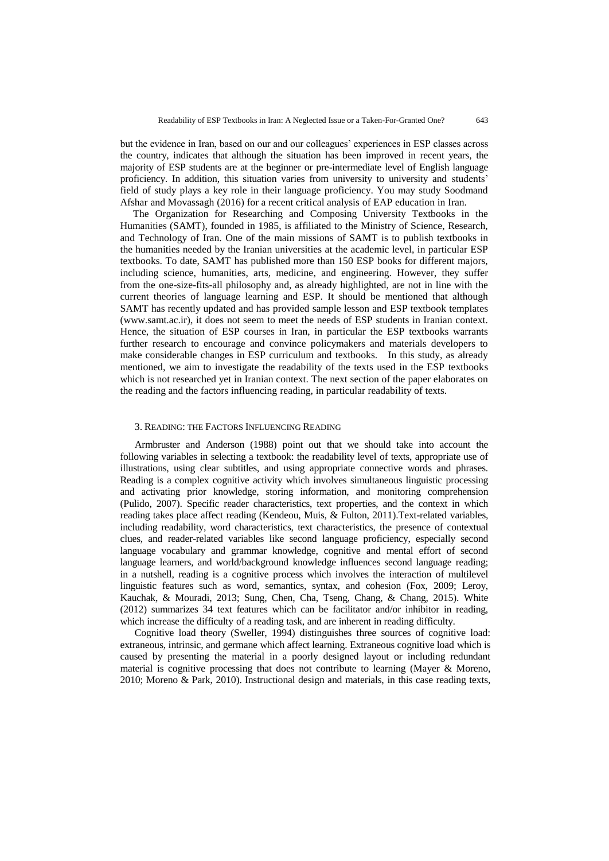but the evidence in Iran, based on our and our colleagues' experiences in ESP classes across the country, indicates that although the situation has been improved in recent years, the majority of ESP students are at the beginner or pre-intermediate level of English language proficiency. In addition, this situation varies from university to university and students' field of study plays a key role in their language proficiency. You may study Soodmand Afshar and Movassagh (2016) for a recent critical analysis of EAP education in Iran.

 The Organization for Researching and Composing University Textbooks in the Humanities (SAMT), founded in 1985, is affiliated to the Ministry of Science, Research, and Technology of Iran. One of the main missions of SAMT is to publish textbooks in the humanities needed by the Iranian universities at the academic level, in particular ESP textbooks. To date, SAMT has published more than 150 ESP books for different majors, including science, humanities, arts, medicine, and engineering. However, they suffer from the one-size-fits-all philosophy and, as already highlighted, are not in line with the current theories of language learning and ESP. It should be mentioned that although SAMT has recently updated and has provided sample lesson and ESP textbook templates [\(www.samt.ac.ir\)](http://www.samt.ac.ir/), it does not seem to meet the needs of ESP students in Iranian context. Hence, the situation of ESP courses in Iran, in particular the ESP textbooks warrants further research to encourage and convince policymakers and materials developers to make considerable changes in ESP curriculum and textbooks. In this study, as already mentioned, we aim to investigate the readability of the texts used in the ESP textbooks which is not researched yet in Iranian context. The next section of the paper elaborates on the reading and the factors influencing reading, in particular readability of texts.

#### 3. READING: THE FACTORS INFLUENCING READING

Armbruster and Anderson (1988) point out that we should take into account the following variables in selecting a textbook: the readability level of texts, appropriate use of illustrations, using clear subtitles, and using appropriate connective words and phrases. Reading is a complex cognitive activity which involves simultaneous linguistic processing and activating prior knowledge, storing information, and monitoring comprehension (Pulido, 2007). Specific reader characteristics, text properties, and the context in which reading takes place affect reading (Kendeou, Muis, & Fulton, 2011).Text-related variables, including readability, word characteristics, text characteristics, the presence of contextual clues, and reader-related variables like second language proficiency, especially second language vocabulary and grammar knowledge, cognitive and mental effort of second language learners, and world/background knowledge influences second language reading; in a nutshell, reading is a cognitive process which involves the interaction of multilevel linguistic features such as word, semantics, syntax, and cohesion (Fox, 2009; Leroy, Kauchak, & Mouradi, 2013; Sung, Chen, Cha, Tseng, Chang, & Chang, 2015). White (2012) summarizes 34 text features which can be facilitator and/or inhibitor in reading, which increase the difficulty of a reading task, and are inherent in reading difficulty.

Cognitive load theory (Sweller, 1994) distinguishes three sources of cognitive load: extraneous, intrinsic, and germane which affect learning. Extraneous cognitive load which is caused by presenting the material in a poorly designed layout or including redundant material is cognitive processing that does not contribute to learning (Mayer & Moreno, 2010; Moreno & Park, 2010). Instructional design and materials, in this case reading texts,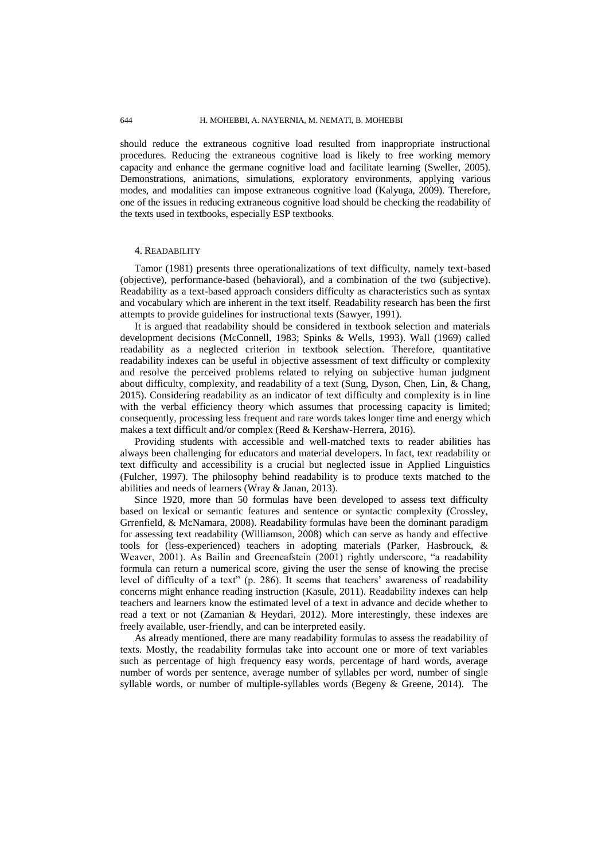should reduce the extraneous cognitive load resulted from inappropriate instructional procedures. Reducing the extraneous cognitive load is likely to free working memory capacity and enhance the germane cognitive load and facilitate learning (Sweller, 2005). Demonstrations, animations, simulations, exploratory environments, applying various modes, and modalities can impose extraneous cognitive load (Kalyuga, 2009). Therefore, one of the issues in reducing extraneous cognitive load should be checking the readability of the texts used in textbooks, especially ESP textbooks.

### 4. READABILITY

Tamor (1981) presents three operationalizations of text difficulty, namely text-based (objective), performance-based (behavioral), and a combination of the two (subjective). Readability as a text-based approach considers difficulty as characteristics such as syntax and vocabulary which are inherent in the text itself. Readability research has been the first attempts to provide guidelines for instructional texts (Sawyer, 1991).

It is argued that readability should be considered in textbook selection and materials development decisions (McConnell, 1983; Spinks & Wells, 1993). Wall (1969) called readability as a neglected criterion in textbook selection. Therefore, quantitative readability indexes can be useful in objective assessment of text difficulty or complexity and resolve the perceived problems related to relying on subjective human judgment about difficulty, complexity, and readability of a text (Sung, Dyson, Chen, Lin, & Chang, 2015). Considering readability as an indicator of text difficulty and complexity is in line with the verbal efficiency theory which assumes that processing capacity is limited; consequently, processing less frequent and rare words takes longer time and energy which makes a text difficult and/or complex (Reed & Kershaw-Herrera, 2016).

Providing students with accessible and well-matched texts to reader abilities has always been challenging for educators and material developers. In fact, text readability or text difficulty and accessibility is a crucial but neglected issue in Applied Linguistics (Fulcher, 1997). The philosophy behind readability is to produce texts matched to the abilities and needs of learners (Wray & Janan, 2013).

Since 1920, more than 50 formulas have been developed to assess text difficulty based on lexical or semantic features and sentence or syntactic complexity (Crossley, Grrenfield, & McNamara, 2008). Readability formulas have been the dominant paradigm for assessing text readability (Williamson, 2008) which can serve as handy and effective tools for (less-experienced) teachers in adopting materials (Parker, Hasbrouck, & Weaver, 2001). As Bailin and Greeneafstein (2001) rightly underscore, "a readability formula can return a numerical score, giving the user the sense of knowing the precise level of difficulty of a text" (p. 286). It seems that teachers' awareness of readability concerns might enhance reading instruction (Kasule, 2011). Readability indexes can help teachers and learners know the estimated level of a text in advance and decide whether to read a text or not (Zamanian & Heydari, 2012). More interestingly, these indexes are freely available, user-friendly, and can be interpreted easily.

As already mentioned, there are many readability formulas to assess the readability of texts. Mostly, the readability formulas take into account one or more of text variables such as percentage of high frequency easy words, percentage of hard words, average number of words per sentence, average number of syllables per word, number of single syllable words, or number of multiple-syllables words (Begeny & Greene, 2014). The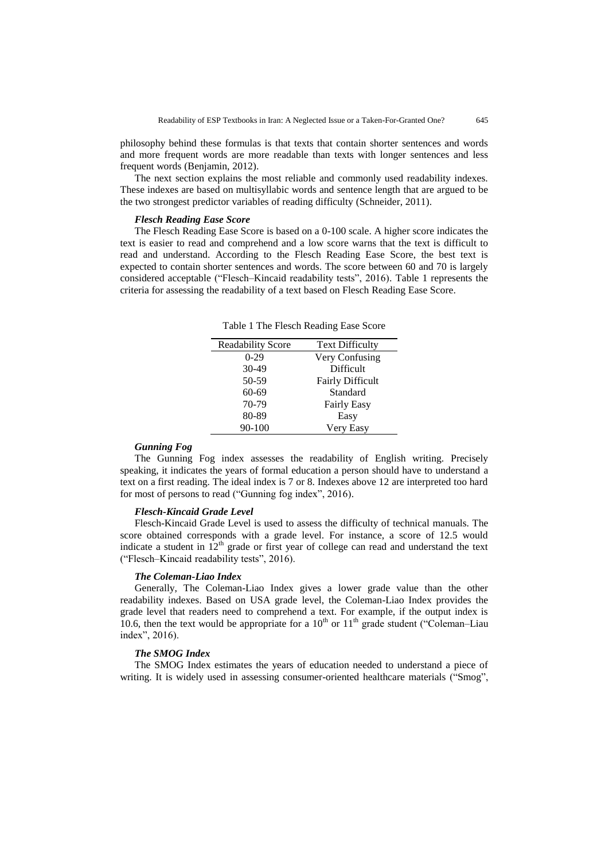philosophy behind these formulas is that texts that contain shorter sentences and words and more frequent words are more readable than texts with longer sentences and less frequent words (Benjamin, 2012).

The next section explains the most reliable and commonly used readability indexes. These indexes are based on multisyllabic words and sentence length that are argued to be the two strongest predictor variables of reading difficulty (Schneider, 2011).

### *Flesch Reading Ease Score*

The Flesch Reading Ease Score is based on a 0-100 scale. A higher score indicates the text is easier to read and comprehend and a low score warns that the text is difficult to read and understand. According to the Flesch Reading Ease Score, the best text is expected to contain shorter sentences and words. The score between 60 and 70 is largely considered acceptable ("Flesch–Kincaid readability tests", 2016). Table 1 represents the criteria for assessing the readability of a text based on Flesch Reading Ease Score.

Table 1 The Flesch Reading Ease Score

| <b>Readability Score</b> | <b>Text Difficulty</b>  |
|--------------------------|-------------------------|
| $0 - 29$                 | Very Confusing          |
| $30-49$                  | Difficult               |
| 50-59                    | <b>Fairly Difficult</b> |
| 60-69                    | Standard                |
| 70-79                    | <b>Fairly Easy</b>      |
| 80-89                    | Easy                    |
| 90-100                   | Very Easy               |

### *Gunning Fog*

The Gunning Fog index assesses the readability of English writing. Precisely speaking, it indicates the years of formal education a person should have to understand a text on a first reading. The ideal index is 7 or 8. Indexes above 12 are interpreted too hard for most of persons to read ("Gunning fog index", 2016).

#### *Flesch-Kincaid Grade Level*

Flesch-Kincaid Grade Level is used to assess the difficulty of technical manuals. The score obtained corresponds with a grade level. For instance, a score of 12.5 would indicate a student in  $12<sup>th</sup>$  grade or first year of college can read and understand the text ("Flesch–Kincaid readability tests", 2016).

#### *The Coleman-Liao Index*

Generally, The Coleman-Liao Index gives a lower grade value than the other readability indexes. Based on USA grade level, the Coleman-Liao Index provides the grade level that readers need to comprehend a text. For example, if the output index is 10.6, then the text would be appropriate for a  $10<sup>th</sup>$  or  $11<sup>th</sup>$  grade student ("Coleman–Liau index", 2016).

### *The SMOG Index*

The SMOG Index estimates the years of education needed to understand a piece of writing. It is widely used in assessing consumer-oriented healthcare materials ("Smog",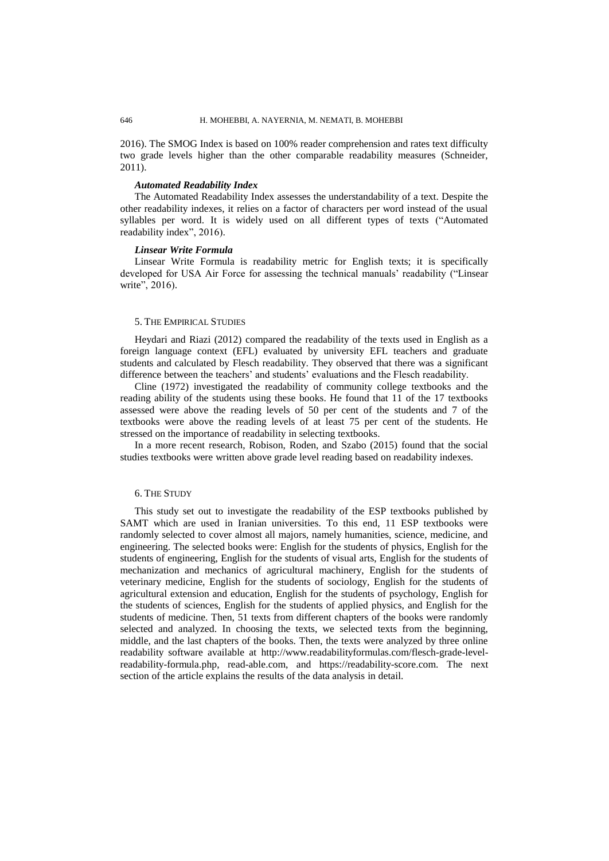2016). The SMOG Index is based on 100% reader comprehension and rates text difficulty two grade levels higher than the other comparable readability measures (Schneider, 2011).

### *Automated Readability Index*

The Automated Readability Index assesses the understandability of a text. Despite the other readability indexes, it relies on a factor of characters per word instead of the usual syllables per word. It is widely used on all different types of texts ("Automated readability index", 2016).

### *Linsear Write Formula*

Linsear Write Formula is readability metric for English texts; it is specifically developed for USA Air Force for assessing the technical manuals' readability ("Linsear write", 2016).

### 5. THE EMPIRICAL STUDIES

Heydari and Riazi (2012) compared the readability of the texts used in English as a foreign language context (EFL) evaluated by university EFL teachers and graduate students and calculated by Flesch readability. They observed that there was a significant difference between the teachers' and students' evaluations and the Flesch readability.

Cline (1972) investigated the readability of community college textbooks and the reading ability of the students using these books. He found that 11 of the 17 textbooks assessed were above the reading levels of 50 per cent of the students and 7 of the textbooks were above the reading levels of at least 75 per cent of the students. He stressed on the importance of readability in selecting textbooks.

In a more recent research, Robison, Roden, and Szabo (2015) found that the social studies textbooks were written above grade level reading based on readability indexes.

### 6. THE STUDY

This study set out to investigate the readability of the ESP textbooks published by SAMT which are used in Iranian universities. To this end, 11 ESP textbooks were randomly selected to cover almost all majors, namely humanities, science, medicine, and engineering. The selected books were: English for the students of physics, English for the students of engineering, English for the students of visual arts, English for the students of mechanization and mechanics of agricultural machinery, English for the students of veterinary medicine, English for the students of sociology, English for the students of agricultural extension and education, English for the students of psychology, English for the students of sciences, English for the students of applied physics, and English for the students of medicine. Then, 51 texts from different chapters of the books were randomly selected and analyzed. In choosing the texts, we selected texts from the beginning, middle, and the last chapters of the books. Then, the texts were analyzed by three online readability software available at [http://www.readabilityformulas.com/flesch-grade-level](http://www.readabilityformulas.com/flesch-grade-level-readability-formula.php)[readability-formula.php,](http://www.readabilityformulas.com/flesch-grade-level-readability-formula.php) [read-able.com,](../my%20written-and%20in%20progress%20articles/my%20written-and%20in%20progress%20articles/in%20progress%20articles/ESP%20manuscript%20Files/ESP%20Manuscript%20submitted%20to%20TESOL/read-able.com) and [https://readability-score.com.](https://readability-score.com/) The next section of the article explains the results of the data analysis in detail.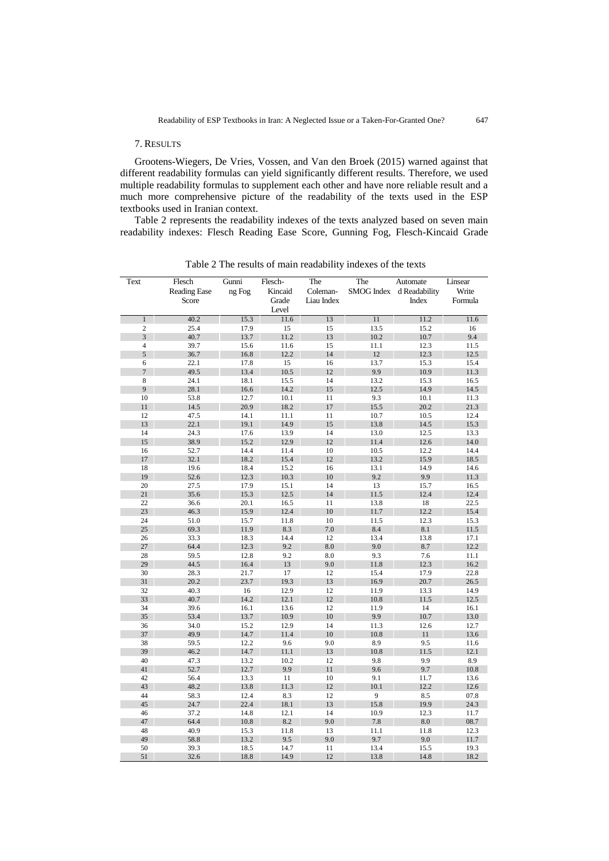### 7. RESULTS

Grootens-Wiegers, De Vries, Vossen, and Van den Broek (2015) warned against that different readability formulas can yield significantly different results. Therefore, we used multiple readability formulas to supplement each other and have nore reliable result and a much more comprehensive picture of the readability of the texts used in the ESP textbooks used in Iranian context.

Table 2 represents the readability indexes of the texts analyzed based on seven main readability indexes: Flesch Reading Ease Score, Gunning Fog, Flesch-Kincaid Grade

| Text             | Flesch<br><b>Reading Ease</b><br>Score | Gunni<br>ng Fog | Flesch-<br>Kincaid<br>Grade | The<br>Coleman-<br>Liau Index | The          | Automate<br>SMOG Index d Readability<br>Index | Linsear<br>Write<br>Formula |
|------------------|----------------------------------------|-----------------|-----------------------------|-------------------------------|--------------|-----------------------------------------------|-----------------------------|
|                  |                                        |                 | Level                       |                               |              |                                               |                             |
| $\,1$            | 40.2                                   | 15.3            | 11.6                        | 13                            | 11           | 11.2                                          | 11.6                        |
| $\overline{c}$   | 25.4                                   | 17.9            | 15                          | 15                            | 13.5         | 15.2                                          | 16                          |
| 3                | 40.7                                   | 13.7            | 11.2                        | 13                            | 10.2         | 10.7                                          | 9.4                         |
| $\overline{4}$   | 39.7                                   | 15.6            | 11.6                        | 15                            | 11.1         | 12.3                                          | 11.5                        |
| 5                | 36.7                                   | 16.8            | 12.2                        | 14                            | 12           | 12.3                                          | 12.5                        |
| 6                | 22.1                                   | 17.8            | 15                          | 16                            | 13.7         | 15.3                                          | 15.4                        |
| $\boldsymbol{7}$ | 49.5                                   | 13.4            | 10.5                        | 12                            | 9.9          | 10.9                                          | 11.3                        |
| 8                | 24.1                                   | 18.1            | 15.5                        | 14                            | 13.2         | 15.3                                          | 16.5                        |
| 9                | 28.1                                   | 16.6            | 14.2                        | 15                            | 12.5         | 14.9                                          | 14.5                        |
| 10               | 53.8                                   | 12.7            | 10.1                        | 11                            | 9.3          | 10.1                                          | 11.3                        |
| 11               | 14.5                                   | 20.9            | 18.2                        | 17                            | 15.5         | 20.2                                          | 21.3                        |
| 12               | 47.5                                   | 14.1            | 11.1                        | 11                            | 10.7         | 10.5                                          | 12.4                        |
| 13               | 22.1                                   | 19.1            | 14.9                        | 15                            | 13.8         | 14.5                                          | 15.3                        |
| 14               | 24.3                                   | 17.6            | 13.9                        | 14<br>12                      | 13.0         | 12.5                                          | 13.3                        |
| 15               | 38.9                                   | 15.2            | 12.9                        |                               | 11.4         | 12.6                                          | 14.0                        |
| 16<br>17         | 52.7<br>32.1                           | 14.4<br>18.2    | 11.4<br>15.4                | 10<br>12                      | 10.5<br>13.2 | 12.2<br>15.9                                  | 14.4<br>18.5                |
| 18               | 19.6                                   | 18.4            | 15.2                        | 16                            | 13.1         | 14.9                                          | 14.6                        |
| 19               | 52.6                                   | 12.3            | 10.3                        | 10                            | 9.2          | 9.9                                           | 11.3                        |
| 20               | 27.5                                   | 17.9            | 15.1                        | 14                            | 13           | 15.7                                          | 16.5                        |
| 21               | 35.6                                   | 15.3            | 12.5                        | 14                            | 11.5         | 12.4                                          | 12.4                        |
| 22               | 36.6                                   | 20.1            | 16.5                        | 11                            | 13.8         | 18                                            | 22.5                        |
| 23               | 46.3                                   | 15.9            | 12.4                        | 10                            | 11.7         | 12.2                                          | 15.4                        |
| 24               | 51.0                                   | 15.7            | 11.8                        | 10                            | 11.5         | 12.3                                          | 15.3                        |
| 25               | 69.3                                   | 11.9            | 8.3                         | 7.0                           | 8.4          | 8.1                                           | 11.5                        |
| 26               | 33.3                                   | 18.3            | 14.4                        | 12                            | 13.4         | 13.8                                          | 17.1                        |
| 27               | 64.4                                   | 12.3            | 9.2                         | 8.0                           | 9.0          | 8.7                                           | 12.2                        |
| 28               | 59.5                                   | 12.8            | 9.2                         | 8.0                           | 9.3          | 7.6                                           | 11.1                        |
| 29               | 44.5                                   | 16.4            | 13                          | 9.0                           | 11.8         | 12.3                                          | 16.2                        |
| 30               | 28.3                                   | 21.7            | 17                          | 12                            | 15.4         | 17.9                                          | 22.8                        |
| 31               | 20.2                                   | 23.7            | 19.3                        | 13                            | 16.9         | 20.7                                          | 26.5                        |
| 32               | 40.3                                   | 16              | 12.9                        | 12                            | 11.9         | 13.3                                          | 14.9                        |
| 33               | 40.7                                   | 14.2            | 12.1                        | 12                            | 10.8         | 11.5                                          | 12.5                        |
| 34               | 39.6                                   | 16.1            | 13.6                        | 12                            | 11.9         | 14                                            | 16.1                        |
| 35               | 53.4                                   | 13.7            | 10.9                        | 10                            | 9.9          | 10.7                                          | 13.0                        |
| 36               | 34.0                                   | 15.2            | 12.9                        | 14                            | 11.3         | 12.6                                          | 12.7                        |
| 37               | 49.9                                   | 14.7            | 11.4                        | 10                            | 10.8         | 11                                            | 13.6                        |
| 38               | 59.5                                   | 12.2            | 9.6                         | 9.0                           | 8.9          | 9.5                                           | 11.6                        |
| 39               | 46.2                                   | 14.7            | 11.1                        | 13                            | 10.8         | 11.5                                          | 12.1                        |
| 40               | 47.3                                   | 13.2            | 10.2                        | 12                            | 9.8          | 9.9                                           | 8.9                         |
| 41               | 52.7                                   | 12.7            | 9.9                         | 11                            | 9.6          | 9.7                                           | 10.8                        |
| 42               | 56.4                                   | 13.3            | 11                          | $10\,$                        | 9.1          | 11.7                                          | 13.6                        |
| 43               | 48.2                                   | 13.8            | 11.3                        | 12                            | 10.1         | 12.2                                          | 12.6                        |
| 44               | 58.3                                   | 12.4            | 8.3                         | 12                            | 9            | 8.5                                           | 07.8                        |
| 45               | 24.7                                   | 22.4            | 18.1                        | 13                            | 15.8         | 19.9                                          | 24.3                        |
| 46               | 37.2                                   | 14.8            | 12.1                        | 14                            | 10.9         | 12.3                                          | 11.7                        |
| 47               | 64.4                                   | $10.8\,$        | 8.2                         | 9.0                           | 7.8          | 8.0                                           | 08.7                        |
| 48               | 40.9                                   | 15.3            | 11.8                        | 13                            | 11.1         | 11.8                                          | 12.3                        |
| 49               | 58.8                                   | 13.2            | 9.5                         | 9.0                           | 9.7          | 9.0                                           | 11.7                        |
| 50               | 39.3                                   | 18.5            | 14.7                        | 11                            | 13.4         | 15.5                                          | 19.3                        |
| 51               | 32.6                                   | 18.8            | 14.9                        | 12                            | 13.8         | 14.8                                          | 18.2                        |

Table 2 The results of main readability indexes of the texts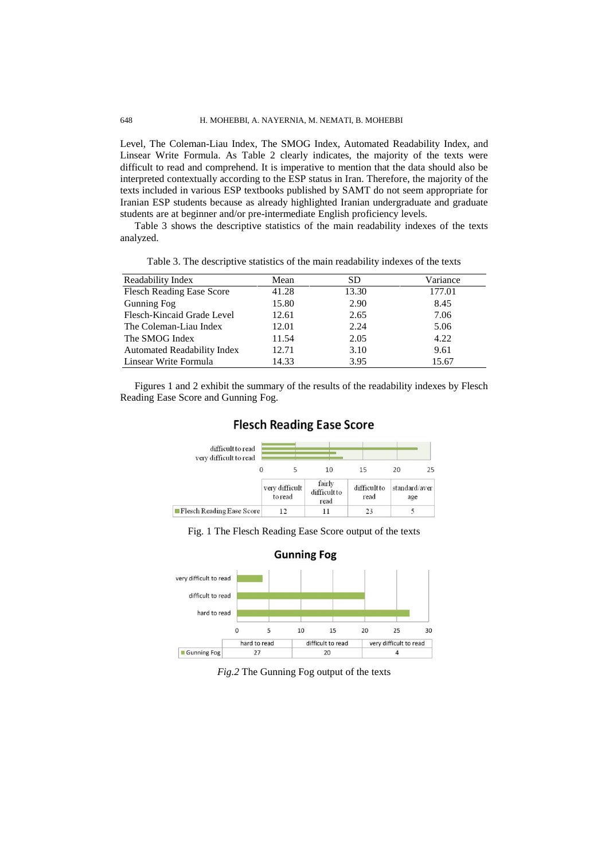### 648 H. MOHEBBI, A. NAYERNIA, M. NEMATI, B. MOHEBBI

Level, The Coleman-Liau Index, The SMOG Index, Automated Readability Index, and Linsear Write Formula. As Table 2 clearly indicates, the majority of the texts were difficult to read and comprehend. It is imperative to mention that the data should also be interpreted contextually according to the ESP status in Iran. Therefore, the majority of the texts included in various ESP textbooks published by SAMT do not seem appropriate for Iranian ESP students because as already highlighted Iranian undergraduate and graduate students are at beginner and/or pre-intermediate English proficiency levels.

Table 3 shows the descriptive statistics of the main readability indexes of the texts analyzed.

| Readability Index                  | Mean  | SD.   | Variance |
|------------------------------------|-------|-------|----------|
| <b>Flesch Reading Ease Score</b>   | 41.28 | 13.30 | 177.01   |
| Gunning Fog                        | 15.80 | 2.90  | 8.45     |
| Flesch-Kincaid Grade Level         | 12.61 | 2.65  | 7.06     |
| The Coleman-Liau Index             | 12.01 | 2.24  | 5.06     |
| The SMOG Index                     | 11.54 | 2.05  | 4.22     |
| <b>Automated Readability Index</b> | 12.71 | 3.10  | 9.61     |
| Linsear Write Formula              | 14.33 | 3.95  | 15.67    |

Table 3. The descriptive statistics of the main readability indexes of the texts

Figures 1 and 2 exhibit the summary of the results of the readability indexes by Flesch Reading Ease Score and Gunning Fog.



## **Flesch Reading Ease Score**

Fig. 1 The Flesch Reading Ease Score output of the texts



*Fig.2* The Gunning Fog output of the texts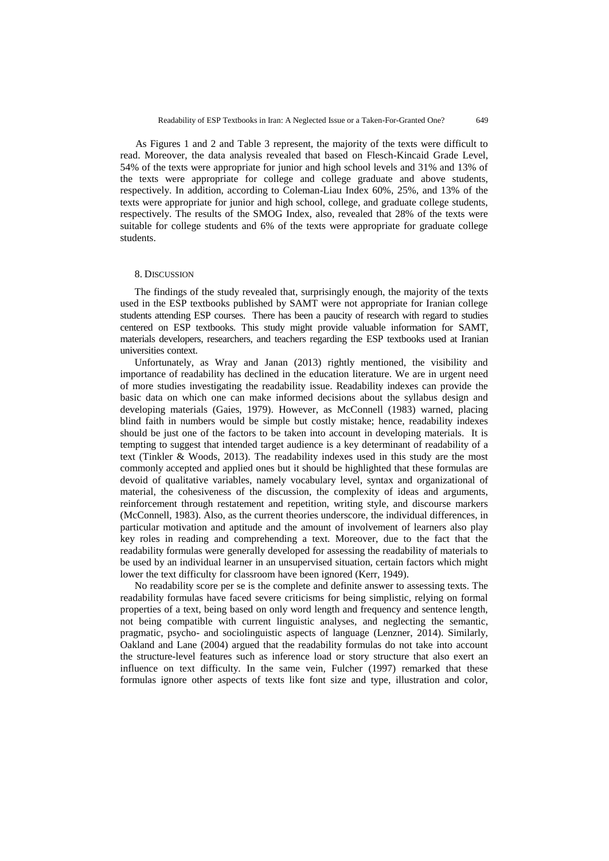As Figures 1 and 2 and Table 3 represent, the majority of the texts were difficult to read. Moreover, the data analysis revealed that based on Flesch-Kincaid Grade Level, 54% of the texts were appropriate for junior and high school levels and 31% and 13% of the texts were appropriate for college and college graduate and above students, respectively. In addition, according to Coleman-Liau Index 60%, 25%, and 13% of the texts were appropriate for junior and high school, college, and graduate college students, respectively. The results of the SMOG Index, also, revealed that 28% of the texts were suitable for college students and 6% of the texts were appropriate for graduate college students.

### 8. DISCUSSION

The findings of the study revealed that, surprisingly enough, the majority of the texts used in the ESP textbooks published by SAMT were not appropriate for Iranian college students attending ESP courses. There has been a paucity of research with regard to studies centered on ESP textbooks. This study might provide valuable information for SAMT, materials developers, researchers, and teachers regarding the ESP textbooks used at Iranian universities context.

Unfortunately, as Wray and Janan (2013) rightly mentioned, the visibility and importance of readability has declined in the education literature. We are in urgent need of more studies investigating the readability issue. Readability indexes can provide the basic data on which one can make informed decisions about the syllabus design and developing materials (Gaies, 1979). However, as McConnell (1983) warned, placing blind faith in numbers would be simple but costly mistake; hence, readability indexes should be just one of the factors to be taken into account in developing materials. It is tempting to suggest that intended target audience is a key determinant of readability of a text (Tinkler & Woods, 2013). The readability indexes used in this study are the most commonly accepted and applied ones but it should be highlighted that these formulas are devoid of qualitative variables, namely vocabulary level, syntax and organizational of material, the cohesiveness of the discussion, the complexity of ideas and arguments, reinforcement through restatement and repetition, writing style, and discourse markers (McConnell, 1983). Also, as the current theories underscore, the individual differences, in particular motivation and aptitude and the amount of involvement of learners also play key roles in reading and comprehending a text. Moreover, due to the fact that the readability formulas were generally developed for assessing the readability of materials to be used by an individual learner in an unsupervised situation, certain factors which might lower the text difficulty for classroom have been ignored (Kerr, 1949).

No readability score per se is the complete and definite answer to assessing texts. The readability formulas have faced severe criticisms for being simplistic, relying on formal properties of a text, being based on only word length and frequency and sentence length, not being compatible with current linguistic analyses, and neglecting the semantic, pragmatic, psycho- and sociolinguistic aspects of language (Lenzner, 2014). Similarly, Oakland and Lane (2004) argued that the readability formulas do not take into account the structure-level features such as inference load or story structure that also exert an influence on text difficulty. In the same vein, Fulcher (1997) remarked that these formulas ignore other aspects of texts like font size and type, illustration and color,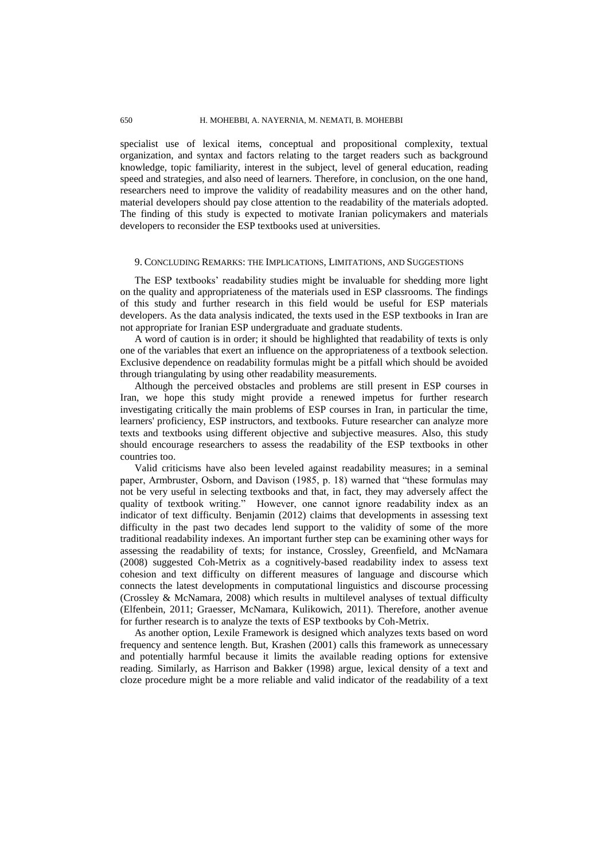### 650 H. MOHEBBI, A. NAYERNIA, M. NEMATI, B. MOHEBBI

specialist use of lexical items, conceptual and propositional complexity, textual organization, and syntax and factors relating to the target readers such as background knowledge, topic familiarity, interest in the subject, level of general education, reading speed and strategies, and also need of learners. Therefore, in conclusion, on the one hand, researchers need to improve the validity of readability measures and on the other hand, material developers should pay close attention to the readability of the materials adopted. The finding of this study is expected to motivate Iranian policymakers and materials developers to reconsider the ESP textbooks used at universities.

### 9. CONCLUDING REMARKS: THE IMPLICATIONS, LIMITATIONS, AND SUGGESTIONS

The ESP textbooks' readability studies might be invaluable for shedding more light on the quality and appropriateness of the materials used in ESP classrooms. The findings of this study and further research in this field would be useful for ESP materials developers. As the data analysis indicated, the texts used in the ESP textbooks in Iran are not appropriate for Iranian ESP undergraduate and graduate students.

A word of caution is in order; it should be highlighted that readability of texts is only one of the variables that exert an influence on the appropriateness of a textbook selection. Exclusive dependence on readability formulas might be a pitfall which should be avoided through triangulating by using other readability measurements.

Although the perceived obstacles and problems are still present in ESP courses in Iran, we hope this study might provide a renewed impetus for further research investigating critically the main problems of ESP courses in Iran, in particular the time, learners' proficiency, ESP instructors, and textbooks. Future researcher can analyze more texts and textbooks using different objective and subjective measures. Also, this study should encourage researchers to assess the readability of the ESP textbooks in other countries too.

Valid criticisms have also been leveled against readability measures; in a seminal paper, Armbruster, Osborn, and Davison (1985, p. 18) warned that "these formulas may not be very useful in selecting textbooks and that, in fact, they may adversely affect the quality of textbook writing." However, one cannot ignore readability index as an indicator of text difficulty. Benjamin (2012) claims that developments in assessing text difficulty in the past two decades lend support to the validity of some of the more traditional readability indexes. An important further step can be examining other ways for assessing the readability of texts; for instance, Crossley, Greenfield, and McNamara (2008) suggested Coh-Metrix as a cognitively-based readability index to assess text cohesion and text difficulty on different measures of language and discourse which connects the latest developments in computational linguistics and discourse processing (Crossley & McNamara, 2008) which results in multilevel analyses of textual difficulty (Elfenbein, 2011; Graesser, McNamara, Kulikowich, 2011). Therefore, another avenue for further research is to analyze the texts of ESP textbooks by Coh-Metrix.

As another option, Lexile Framework is designed which analyzes texts based on word frequency and sentence length. But, Krashen (2001) calls this framework as unnecessary and potentially harmful because it limits the available reading options for extensive reading. Similarly, as Harrison and Bakker (1998) argue, lexical density of a text and cloze procedure might be a more reliable and valid indicator of the readability of a text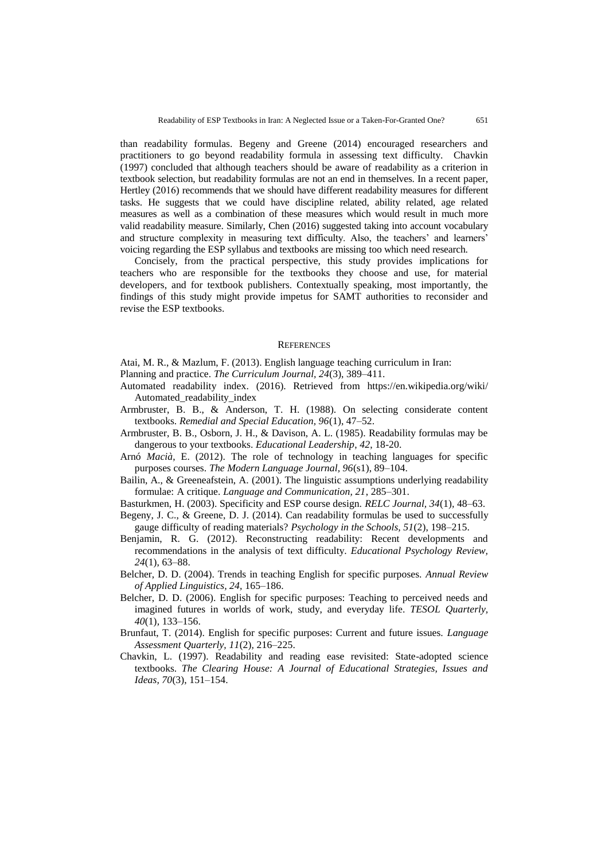than readability formulas. Begeny and Greene (2014) encouraged researchers and practitioners to go beyond readability formula in assessing text difficulty. Chavkin (1997) concluded that although teachers should be aware of readability as a criterion in textbook selection, but readability formulas are not an end in themselves. In a recent paper, Hertley (2016) recommends that we should have different readability measures for different tasks. He suggests that we could have discipline related, ability related, age related measures as well as a combination of these measures which would result in much more valid readability measure. Similarly, Chen (2016) suggested taking into account vocabulary and structure complexity in measuring text difficulty. Also, the teachers' and learners' voicing regarding the ESP syllabus and textbooks are missing too which need research.

Concisely, from the practical perspective, this study provides implications for teachers who are responsible for the textbooks they choose and use, for material developers, and for textbook publishers. Contextually speaking, most importantly, the findings of this study might provide impetus for SAMT authorities to reconsider and revise the ESP textbooks.

### **REFERENCES**

Atai*,* M. R., & Mazlum, F. (2013). English language teaching curriculum in Iran:

- Planning and practice. *The Curriculum Journal, 24*(3), 389–411.
- Automated readability index. (2016). Retrieved from https://en.wikipedia.org/wiki/ Automated\_readability\_index
- Armbruster, B. B., & Anderson, T. H. (1988). On selecting considerate content textbooks. *Remedial and Special Education, 96*(1), 47–52.
- Armbruster, B. B., Osborn, J. H., & Davison, A. L. (1985). Readability formulas may be dangerous to your textbooks. *Educational Leadership*, *42*, 18-20.
- Arnó *Macià*, E. (2012). The role of technology in teaching languages for specific purposes courses. *The Modern Language Journal, 96*(s1), 89–104.
- Bailin, A., & Greeneafstein, A. (2001). The linguistic assumptions underlying readability formulae: A critique. *Language and Communication, 21*, 285–301.
- Basturkmen, H. (2003). Specificity and ESP course design. *RELC Journal, 34*(1)*,* 48–63.
- Begeny, J. C., & Greene, D. J. (2014). Can readability formulas be used to successfully gauge difficulty of reading materials? *Psychology in the Schools, 51*(2), 198–215.
- Benjamin, R. G. (2012). Reconstructing readability: Recent developments and recommendations in the analysis of text difficulty. *Educational Psychology Review, 24*(1), 63–88.
- Belcher, D. D. (2004). Trends in teaching English for specific purposes. *Annual Review of Applied Linguistics, 24,* 165–186.
- Belcher, D. D. (2006). English for specific purposes: Teaching to perceived needs and imagined futures in worlds of work, study, and everyday life. *TESOL Quarterly, 40*(1)*,* 133–156.
- Brunfaut, T. (2014). English for specific purposes: Current and future issues. *Language Assessment Quarterly, 11*(2)*,* 216–225.
- Chavkin, L. (1997). Readability and reading ease revisited: State-adopted science textbooks. *The Clearing House: A Journal of Educational Strategies, Issues and Ideas, 70*(3), 151–154.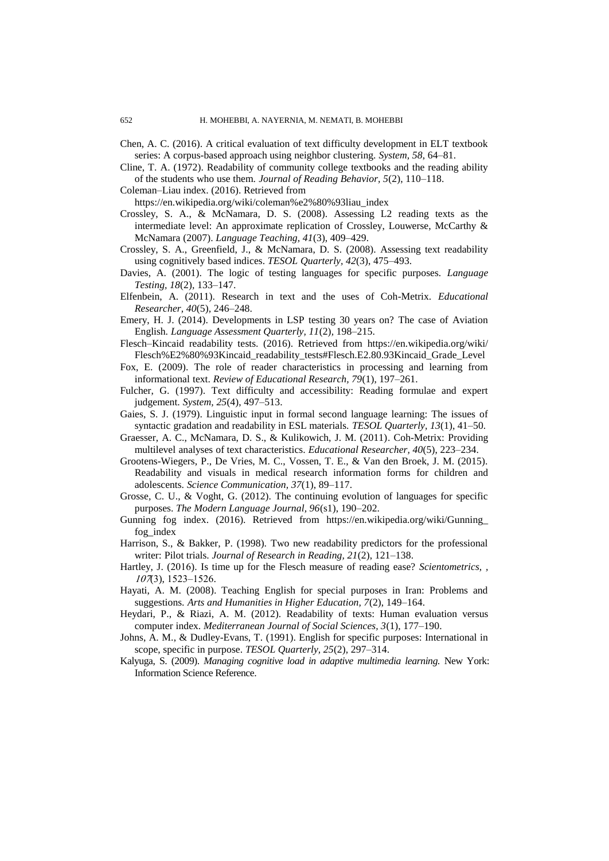Chen, A. C. (2016). A critical evaluation of text difficulty development in ELT textbook series: A corpus-based approach using neighbor clustering. *System, 58*, 64–81.

- Cline, T. A. (1972). Readability of community college textbooks and the reading ability of the students who use them. *Journal of Reading Behavior, 5*(2), 110–118.
- Coleman–Liau index. (2016). Retrieved from

https://en.wikipedia.org/wiki/coleman%e2%80%93liau\_index

- Crossley, S. A., & McNamara, D. S. (2008). Assessing L2 reading texts as the intermediate level: An approximate replication of Crossley, Louwerse, McCarthy & McNamara (2007). *Language Teaching, 41*(3), 409–429.
- Crossley, S. A., Greenfield, J., & McNamara, D. S. (2008). Assessing text readability using cognitively based indices. *TESOL Quarterly, 42*(3), 475–493.
- Davies, A. (2001). The logic of testing languages for specific purposes. *Language Testing, 18*(2)*,* 133–147.
- Elfenbein, A. (2011). Research in text and the uses of Coh-Metrix. *Educational Researcher, 40*(5)*,* 246–248.
- Emery, H. J. (2014). Developments in LSP testing 30 years on? The case of Aviation English. *Language Assessment Quarterly, 11*(2)*,* 198–215.
- Flesch–Kincaid readability tests. (2016). Retrieved from [https://en.wikipedia.org/wiki/](https://en.wikipedia.org/wiki/Flesch%E2%80%93Kincaid_readability_tests#Flesch.E2.80.93Kincaid_Grade_Level) [Flesch%E2%80%93Kincaid\\_readability\\_tests#Flesch.E2.80.93Kincaid\\_Grade\\_Level](https://en.wikipedia.org/wiki/Flesch%E2%80%93Kincaid_readability_tests#Flesch.E2.80.93Kincaid_Grade_Level)
- Fox, E. (2009). The role of reader characteristics in processing and learning from informational text. *Review of Educational Research, 79*(1), 197–261.
- Fulcher, G. (1997). Text difficulty and accessibility: Reading formulae and expert judgement. *System, 25*(4), 497–513.
- Gaies, S. J. (1979). Linguistic input in formal second language learning: The issues of syntactic gradation and readability in ESL materials. *TESOL Quarterly, 13*(1), 41–50.
- Graesser, A. C., McNamara, D. S., & Kulikowich, J. M. (2011). Coh-Metrix: Providing multilevel analyses of text characteristics. *Educational Researcher, 40*(5), 223–234.
- Grootens-Wiegers, P., De Vries, M. C., Vossen, T. E., & Van den Broek, J. M. (2015). Readability and visuals in medical research information forms for children and adolescents. *Science Communication, 37*(1), 89–117.
- Grosse*,* C. U., & Voght, G. (2012). The continuing evolution of languages for specific purposes. *The Modern Language Journal, 96*(s1), 190–202.
- Gunning fog index. (2016). Retrieved from https://en.wikipedia.org/wiki/Gunning\_ fog\_index
- Harrison, S., & Bakker, P. (1998). Two new readability predictors for the professional writer: Pilot trials. *Journal of Research in Reading, 21*(2), 121–138.
- Hartley, J. (2016). Is time up for the Flesch measure of reading ease? *Scientometrics*,  $107(3)$ , 1523–1526.
- Hayati, A. M. (2008). Teaching English for special purposes in Iran: Problems and suggestions. *Arts and Humanities in Higher Education, 7*(2), 149–164.
- Heydari, P., & Riazi, A. M. (2012). Readability of texts: Human evaluation versus computer index. *Mediterranean Journal of Social Sciences, 3*(1), 177–190.
- Johns, A. M., & Dudley-Evans, T. (1991). English for specific purposes: International in scope, specific in purpose. *TESOL Quarterly, 25*(2)*,* 297–314.
- Kalyuga, S. (2009). *Managing cognitive load in adaptive multimedia learning.* New York: Information Science Reference.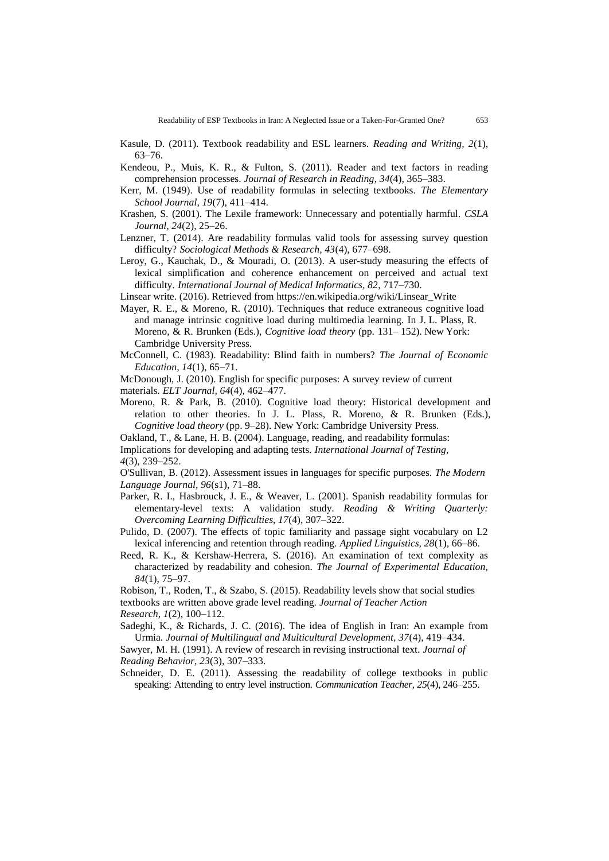- Kendeou, P., Muis, K. R., & Fulton, S. (2011). Reader and text factors in reading comprehension processes. *Journal of Research in Reading*, *34*(4)*,* 365–383.
- Kerr, M. (1949). Use of readability formulas in selecting textbooks. *The Elementary School Journal, 19*(7), 411–414.
- Krashen, S. (2001). The Lexile framework: Unnecessary and potentially harmful. *CSLA Journal, 24*(2), 25–26.
- Lenzner, T. (2014). Are readability formulas valid tools for assessing survey question difficulty? *Sociological Methods & Research, 43*(4), 677–698.
- Leroy, G., Kauchak, D., & Mouradi, O. (2013). A user-study measuring the effects of lexical simplification and coherence enhancement on perceived and actual text difficulty. *International Journal of Medical Informatics, 82*, 717–730.
- Linsear write. (2016). Retrieved from https://en.wikipedia.org/wiki/Linsear\_Write
- Mayer, R. E., & Moreno, R. (2010). Techniques that reduce extraneous cognitive load and manage intrinsic cognitive load during multimedia learning. In J. L. Plass, R. Moreno, & R. Brunken (Eds.), *Cognitive load theory* (pp. 131– 152). New York: Cambridge University Press.
- McConnell, C. (1983). Readability: Blind faith in numbers? *The Journal of Economic Education, 14*(1), 65–71.

McDonough, J. (2010). English for specific purposes: A survey review of current materials. *ELT Journal, 64*(4)*,* 462–477.

Moreno, R. & Park, B. (2010). Cognitive load theory: Historical development and relation to other theories. In J. L. Plass, R. Moreno, & R. Brunken (Eds.), *Cognitive load theory* (pp. 9–28). New York: Cambridge University Press.

Oakland, T., & Lane, H. B. (2004). Language, reading, and readability formulas:

Implications for developing and adapting tests. *International Journal of Testing, 4*(3), 239–252.

O'Sullivan*,* B. (2012). Assessment issues in languages for specific purposes. *The Modern Language Journal, 96*(s1), 71–88.

- Parker, R. I., Hasbrouck, J. E., & Weaver, L. (2001). Spanish readability formulas for elementary-level texts: A validation study. *Reading & Writing Quarterly: Overcoming Learning Difficulties, 17*(4), 307–322.
- Pulido, D. (2007). The effects of topic familiarity and passage sight vocabulary on L2 lexical inferencing and retention through reading. *Applied Linguistics, 28*(1)*,* 66–86.
- Reed, R. K., & Kershaw-Herrera, S. (2016). An examination of text complexity as characterized by readability and cohesion. *The Journal of Experimental Education, 84*(1), 75–97.
- Robison*,* T., Roden, T., & Szabo, S. (2015). Readability levels show that social studies

textbooks are written above grade level reading. *Journal of Teacher Action* 

*Research, 1*(2), 100–112.

Sadeghi, K., & Richards, J. C. (2016). The idea of English in Iran: An example from Urmia. *Journal of Multilingual and Multicultural Development, 37*(4), 419–434.

Sawyer, M. H. (1991). A review of research in revising instructional text. *Journal of Reading Behavior, 23*(3)*,* 307–333.

Schneider, D. E. (2011). Assessing the readability of college textbooks in public speaking: Attending to entry level instruction. *Communication Teacher, 25*(4), 246–255.

Kasule, D. (2011). Textbook readability and ESL learners. *Reading and Writing, 2*(1), 63–76.